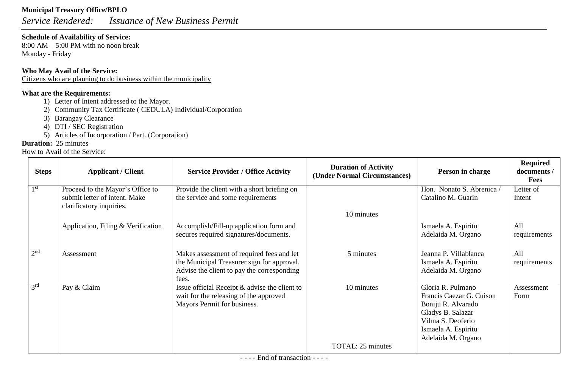# **Municipal Treasury Office/BPLO**

*Service Rendered: Issuance of New Business Permit*

# **Schedule of Availability of Service:**

8:00 AM – 5:00 PM with no noon break Monday - Friday

# **Who May Avail of the Service:**

Citizens who are planning to do business within the municipality

# **What are the Requirements:**

- 1) Letter of Intent addressed to the Mayor.
- 2) Community Tax Certificate ( CEDULA) Individual/Corporation
- 3) Barangay Clearance
- 4) DTI / SEC Registration
- 5) Articles of Incorporation / Part. (Corporation)

# **Duration:** 25 minutes

| <b>Steps</b>    | <b>Applicant / Client</b>                                                                     | <b>Service Provider / Office Activity</b>                                                                                                      | <b>Duration of Activity</b><br>(Under Normal Circumstances) | Person in charge                                                                                                                                           | <b>Required</b><br>documents /<br><b>Fees</b> |
|-----------------|-----------------------------------------------------------------------------------------------|------------------------------------------------------------------------------------------------------------------------------------------------|-------------------------------------------------------------|------------------------------------------------------------------------------------------------------------------------------------------------------------|-----------------------------------------------|
| 1 <sup>st</sup> | Proceed to the Mayor's Office to<br>submit letter of intent. Make<br>clarificatory inquiries. | Provide the client with a short briefing on<br>the service and some requirements                                                               |                                                             | Hon. Nonato S. Abrenica /<br>Catalino M. Guarin                                                                                                            | Letter of<br>Intent                           |
|                 |                                                                                               |                                                                                                                                                | 10 minutes                                                  |                                                                                                                                                            |                                               |
|                 | Application, Filing & Verification                                                            | Accomplish/Fill-up application form and<br>secures required signatures/documents.                                                              |                                                             | Ismaela A. Espiritu<br>Adelaida M. Organo                                                                                                                  | All<br>requirements                           |
| 2 <sup>nd</sup> | Assessment                                                                                    | Makes assessment of required fees and let<br>the Municipal Treasurer sign for approval.<br>Advise the client to pay the corresponding<br>fees. | 5 minutes                                                   | Jeanna P. Villablanca<br>Ismaela A. Espiritu<br>Adelaida M. Organo                                                                                         | All<br>requirements                           |
| 3 <sup>rd</sup> | Pay & Claim                                                                                   | Issue official Receipt & advise the client to<br>wait for the releasing of the approved<br>Mayors Permit for business.                         | 10 minutes                                                  | Gloria R. Pulmano<br>Francis Caezar G. Cuison<br>Boniju R. Alvarado<br>Gladys B. Salazar<br>Vilma S. Deoferio<br>Ismaela A. Espiritu<br>Adelaida M. Organo | Assessment<br>Form                            |
|                 |                                                                                               |                                                                                                                                                | TOTAL: 25 minutes                                           |                                                                                                                                                            |                                               |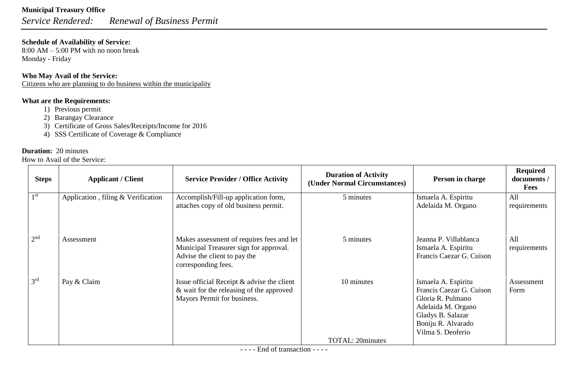*Service Rendered: Renewal of Business Permit*

### **Schedule of Availability of Service:**

8:00 AM – 5:00 PM with no noon break Monday - Friday

### **Who May Avail of the Service:**

Citizens who are planning to do business within the municipality

### **What are the Requirements:**

- 1) Previous permit
- 2) Barangay Clearance
- 3) Certificate of Gross Sales/Receipts/Income for 2016
- 4) SSS Certificate of Coverage & Compliance

# **Duration:** 20 minutes

| <b>Steps</b>    | <b>Applicant / Client</b>          | <b>Service Provider / Office Activity</b>                                                                                                  | <b>Duration of Activity</b><br>(Under Normal Circumstances) | Person in charge                                                                                                                                           | <b>Required</b><br>documents /<br><b>Fees</b> |
|-----------------|------------------------------------|--------------------------------------------------------------------------------------------------------------------------------------------|-------------------------------------------------------------|------------------------------------------------------------------------------------------------------------------------------------------------------------|-----------------------------------------------|
| 1 <sup>st</sup> | Application, filing & Verification | Accomplish/Fill-up application form,<br>attaches copy of old business permit.                                                              | 5 minutes                                                   | Ismaela A. Espiritu<br>Adelaida M. Organo                                                                                                                  | All<br>requirements                           |
| 2 <sup>nd</sup> | Assessment                         | Makes assessment of requires fees and let<br>Municipal Treasurer sign for approval.<br>Advise the client to pay the<br>corresponding fees. | 5 minutes                                                   | Jeanna P. Villablanca<br>Ismaela A. Espiritu<br>Francis Caezar G. Cuison                                                                                   | A11<br>requirements                           |
| 3 <sup>rd</sup> | Pay & Claim                        | Issue official Receipt & advise the client<br>& wait for the releasing of the approved<br>Mayors Permit for business.                      | 10 minutes                                                  | Ismaela A. Espiritu<br>Francis Caezar G. Cuison<br>Gloria R. Pulmano<br>Adelaida M. Organo<br>Gladys B. Salazar<br>Boniju R. Alvarado<br>Vilma S. Deoferio | Assessment<br>Form                            |
|                 |                                    |                                                                                                                                            | <b>TOTAL: 20minutes</b>                                     |                                                                                                                                                            |                                               |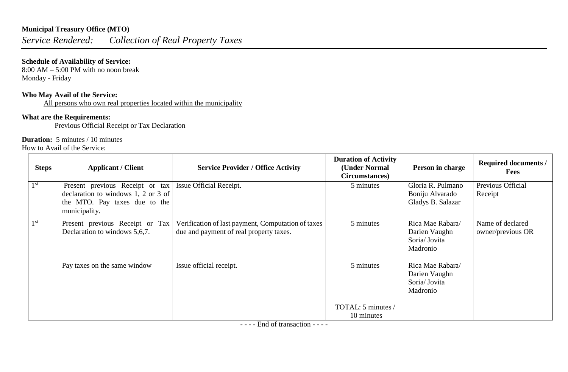# **Municipal Treasury Office (MTO)**

*Service Rendered: Collection of Real Property Taxes*

# **Schedule of Availability of Service:**

 $8:00$  AM – 5:00 PM with no noon break Monday - Friday

### **Who May Avail of the Service:**

All persons who own real properties located within the municipality

# **What are the Requirements:**

Previous Official Receipt or Tax Declaration

### **Duration:** 5 minutes / 10 minutes

How to Avail of the Service:

| <b>Steps</b>    | <b>Applicant / Client</b>                                                                                                                          | <b>Service Provider / Office Activity</b>                                                     | <b>Duration of Activity</b><br>(Under Normal<br>Circumstances) | Person in charge                                               | <b>Required documents /</b><br><b>Fees</b> |
|-----------------|----------------------------------------------------------------------------------------------------------------------------------------------------|-----------------------------------------------------------------------------------------------|----------------------------------------------------------------|----------------------------------------------------------------|--------------------------------------------|
| 1 <sup>st</sup> | Present previous Receipt or tax   Issue Official Receipt.<br>declaration to windows 1, 2 or 3 of<br>the MTO. Pay taxes due to the<br>municipality. |                                                                                               | 5 minutes                                                      | Gloria R. Pulmano<br>Boniju Alvarado<br>Gladys B. Salazar      | Previous Official<br>Receipt               |
| 1 <sup>st</sup> | Present previous Receipt or Tax<br>Declaration to windows 5,6,7.                                                                                   | Verification of last payment, Computation of taxes<br>due and payment of real property taxes. | 5 minutes                                                      | Rica Mae Rabara/<br>Darien Vaughn<br>Soria/Jovita<br>Madronio  | Name of declared<br>owner/previous OR      |
|                 | Pay taxes on the same window                                                                                                                       | Issue official receipt.                                                                       | 5 minutes                                                      | Rica Mae Rabara/<br>Darien Vaughn<br>Soria/ Jovita<br>Madronio |                                            |
|                 |                                                                                                                                                    |                                                                                               | TOTAL: 5 minutes /<br>10 minutes                               |                                                                |                                            |

- - - - End of transaction - - - -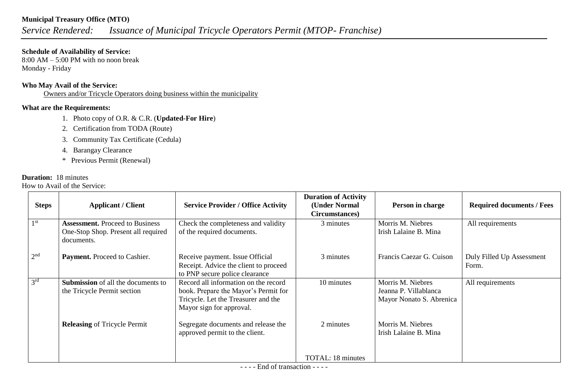### **Municipal Treasury Office (MTO)**

# *Service Rendered: Issuance of Municipal Tricycle Operators Permit (MTOP- Franchise)*

#### **Schedule of Availability of Service:**

8:00 AM – 5:00 PM with no noon break Monday - Friday

### **Who May Avail of the Service:**

Owners and/or Tricycle Operators doing business within the municipality

# **What are the Requirements:**

- 1. Photo copy of O.R. & C.R. (**Updated-For Hire**)
- 2. Certification from TODA (Route)
- 3. Community Tax Certificate (Cedula)
- 4. Barangay Clearance
- \* Previous Permit (Renewal)

# **Duration:** 18 minutes

| <b>Steps</b>    | <b>Applicant / Client</b>                                                                   | <b>Service Provider / Office Activity</b>                                                                                                       | <b>Duration of Activity</b><br>(Under Normal<br>Circumstances) | Person in charge                                                       | <b>Required documents / Fees</b>   |
|-----------------|---------------------------------------------------------------------------------------------|-------------------------------------------------------------------------------------------------------------------------------------------------|----------------------------------------------------------------|------------------------------------------------------------------------|------------------------------------|
| 1 <sup>st</sup> | <b>Assessment.</b> Proceed to Business<br>One-Stop Shop. Present all required<br>documents. | Check the completeness and validity<br>of the required documents.                                                                               | 3 minutes                                                      | Morris M. Niebres<br>Irish Lalaine B. Mina                             | All requirements                   |
| 2 <sup>nd</sup> | Payment. Proceed to Cashier.                                                                | Receive payment. Issue Official<br>Receipt. Advice the client to proceed<br>to PNP secure police clearance                                      | 3 minutes                                                      | Francis Caezar G. Cuison                                               | Duly Filled Up Assessment<br>Form. |
| 3 <sup>rd</sup> | <b>Submission</b> of all the documents to<br>the Tricycle Permit section                    | Record all information on the record<br>book. Prepare the Mayor's Permit for<br>Tricycle. Let the Treasurer and the<br>Mayor sign for approval. | 10 minutes                                                     | Morris M. Niebres<br>Jeanna P. Villablanca<br>Mayor Nonato S. Abrenica | All requirements                   |
|                 | <b>Releasing of Tricycle Permit</b>                                                         | Segregate documents and release the<br>approved permit to the client.                                                                           | 2 minutes                                                      | Morris M. Niebres<br>Irish Lalaine B. Mina                             |                                    |
|                 |                                                                                             |                                                                                                                                                 | <b>TOTAL: 18 minutes</b>                                       |                                                                        |                                    |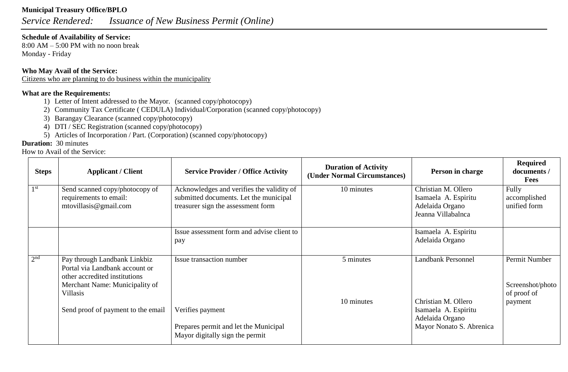# **Municipal Treasury Office/BPLO**

*Service Rendered: Issuance of New Business Permit (Online)*

### **Schedule of Availability of Service:**

8:00 AM – 5:00 PM with no noon break Monday - Friday

### **Who May Avail of the Service:**

Citizens who are planning to do business within the municipality

# **What are the Requirements:**

- 1) Letter of Intent addressed to the Mayor. (scanned copy/photocopy)
- 2) Community Tax Certificate ( CEDULA) Individual/Corporation (scanned copy/photocopy)
- 3) Barangay Clearance (scanned copy/photocopy)
- 4) DTI / SEC Registration (scanned copy/photocopy)
- 5) Articles of Incorporation / Part. (Corporation) (scanned copy/photocopy)

### **Duration:** 30 minutes

| <b>Steps</b>    | <b>Applicant / Client</b>                                                                                                                     | <b>Service Provider / Office Activity</b>                                                                                 | <b>Duration of Activity</b><br>(Under Normal Circumstances) | Person in charge                                                                     | <b>Required</b><br>documents /<br><b>Fees</b>               |
|-----------------|-----------------------------------------------------------------------------------------------------------------------------------------------|---------------------------------------------------------------------------------------------------------------------------|-------------------------------------------------------------|--------------------------------------------------------------------------------------|-------------------------------------------------------------|
| 1 <sup>st</sup> | Send scanned copy/photocopy of<br>requirements to email:<br>mtovillasis@gmail.com                                                             | Acknowledges and verifies the validity of<br>submitted documents. Let the municipal<br>treasurer sign the assessment form | 10 minutes                                                  | Christian M. Ollero<br>Isamaela A. Espiritu<br>Adelaida Organo<br>Jeanna Villabalnca | Fully<br>accomplished<br>unified form                       |
|                 |                                                                                                                                               | Issue assessment form and advise client to<br>pay                                                                         |                                                             | Isamaela A. Espiritu<br>Adelaida Organo                                              |                                                             |
| 2 <sup>nd</sup> | Pay through Landbank Linkbiz<br>Portal via Landbank account or<br>other accredited institutions<br>Merchant Name: Municipality of<br>Villasis | Issue transaction number                                                                                                  | 5 minutes<br>10 minutes                                     | <b>Landbank Personnel</b><br>Christian M. Ollero                                     | Permit Number<br>Screenshot/photo<br>of proof of<br>payment |
|                 | Send proof of payment to the email                                                                                                            | Verifies payment<br>Prepares permit and let the Municipal<br>Mayor digitally sign the permit                              |                                                             | Isamaela A. Espiritu<br>Adelaida Organo<br>Mayor Nonato S. Abrenica                  |                                                             |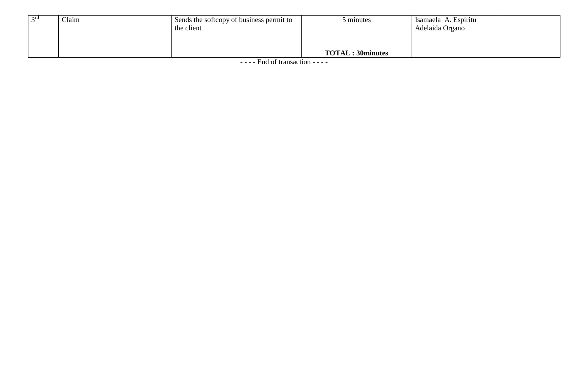| $\gamma$ ra | Claim | Sends the softcopy of business permit to<br>the client | minutes                 | Isamaela A. Espiritu<br>Adelaida Organo |  |
|-------------|-------|--------------------------------------------------------|-------------------------|-----------------------------------------|--|
|             |       |                                                        | <b>TOTAL: 30minutes</b> |                                         |  |

- - - - End of transaction - - - -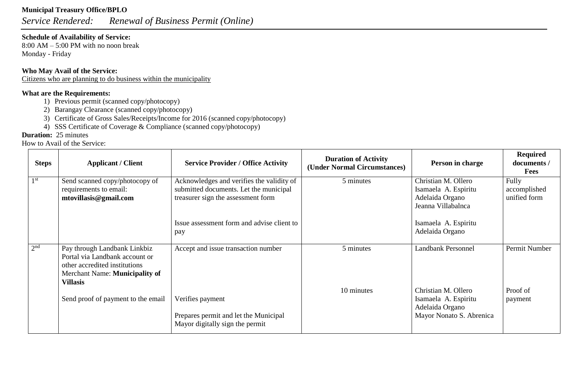# **Municipal Treasury Office/BPLO**

*Service Rendered: Renewal of Business Permit (Online)*

### **Schedule of Availability of Service:**

8:00 AM – 5:00 PM with no noon break Monday - Friday

### **Who May Avail of the Service:**

Citizens who are planning to do business within the municipality

# **What are the Requirements:**

- 1) Previous permit (scanned copy/photocopy)
- 2) Barangay Clearance (scanned copy/photocopy)
- 3) Certificate of Gross Sales/Receipts/Income for 2016 (scanned copy/photocopy)
- 4) SSS Certificate of Coverage & Compliance (scanned copy/photocopy)

# **Duration:** 25 minutes

| <b>Steps</b>    | <b>Applicant / Client</b>                                                                                                                            | <b>Service Provider / Office Activity</b>                                                                                 | <b>Duration of Activity</b><br>(Under Normal Circumstances) | Person in charge                                                                           | <b>Required</b><br>documents /<br><b>Fees</b> |
|-----------------|------------------------------------------------------------------------------------------------------------------------------------------------------|---------------------------------------------------------------------------------------------------------------------------|-------------------------------------------------------------|--------------------------------------------------------------------------------------------|-----------------------------------------------|
| 1 <sup>st</sup> | Send scanned copy/photocopy of<br>requirements to email:<br>mtovillasis@gmail.com                                                                    | Acknowledges and verifies the validity of<br>submitted documents. Let the municipal<br>treasurer sign the assessment form | 5 minutes                                                   | Christian M. Ollero<br>Isamaela A. Espiritu<br>Adelaida Organo<br>Jeanna Villabalnca       | Fully<br>accomplished<br>unified form         |
|                 |                                                                                                                                                      | Issue assessment form and advise client to<br>pay                                                                         |                                                             | Isamaela A. Espiritu<br>Adelaida Organo                                                    |                                               |
| 2 <sup>nd</sup> | Pay through Landbank Linkbiz<br>Portal via Landbank account or<br>other accredited institutions<br>Merchant Name: Municipality of<br><b>Villasis</b> | Accept and issue transaction number                                                                                       | 5 minutes                                                   | <b>Landbank Personnel</b>                                                                  | Permit Number                                 |
|                 | Send proof of payment to the email                                                                                                                   | Verifies payment<br>Prepares permit and let the Municipal<br>Mayor digitally sign the permit                              | 10 minutes                                                  | Christian M. Ollero<br>Isamaela A. Espiritu<br>Adelaida Organo<br>Mayor Nonato S. Abrenica | Proof of<br>payment                           |